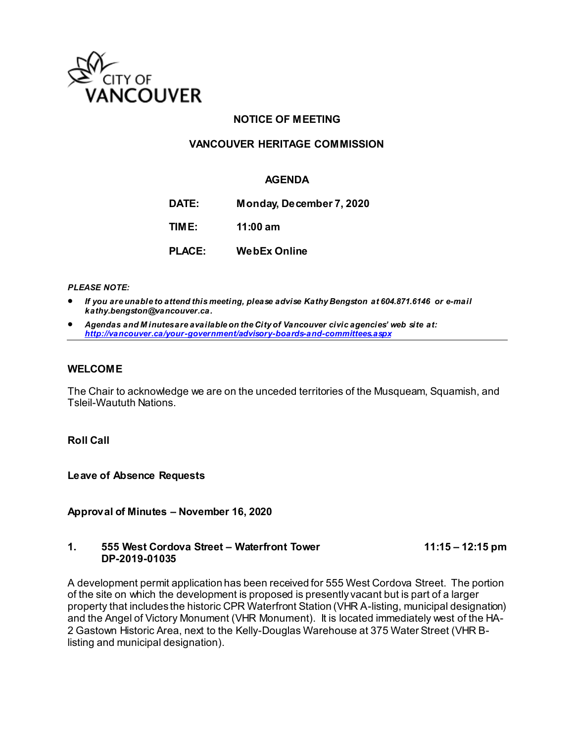

## **NOTICE OF MEETING**

## **VANCOUVER HERITAGE COMMISSION**

#### **AGENDA**

**DATE: Monday, December 7, 2020**

**TIME: 11:00 am**

**PLACE: WebEx Online**

*PLEASE NOTE:*

- *If you are unable to attend this meeting, please advise Kathy Bengston at 604.871.6146 or e-mail kathy.bengston@vancouver.ca.*
- *Agendas and M inutes are available on the City of Vancouver civic agencies' web site at: <http://vancouver.ca/your-government/advisory-boards-and-committees.aspx>*

#### **WELCOME**

The Chair to acknowledge we are on the unceded territories of the Musqueam, Squamish, and Tsleil-Waututh Nations.

**Roll Call**

**Leave of Absence Requests** 

**Approval of Minutes – November 16, 2020**

#### **1. 555 West Cordova Street – Waterfront Tower 11:15 – 12:15 pm DP-2019-01035**

A development permit application has been received for 555 West Cordova Street. The portion of the site on which the development is proposed is presently vacant but is part of a larger property that includes the historic CPR Waterfront Station (VHR A-listing, municipal designation) and the Angel of Victory Monument (VHR Monument). It is located immediately west of the HA-2 Gastown Historic Area, next to the Kelly-Douglas Warehouse at 375 Water Street (VHR Blisting and municipal designation).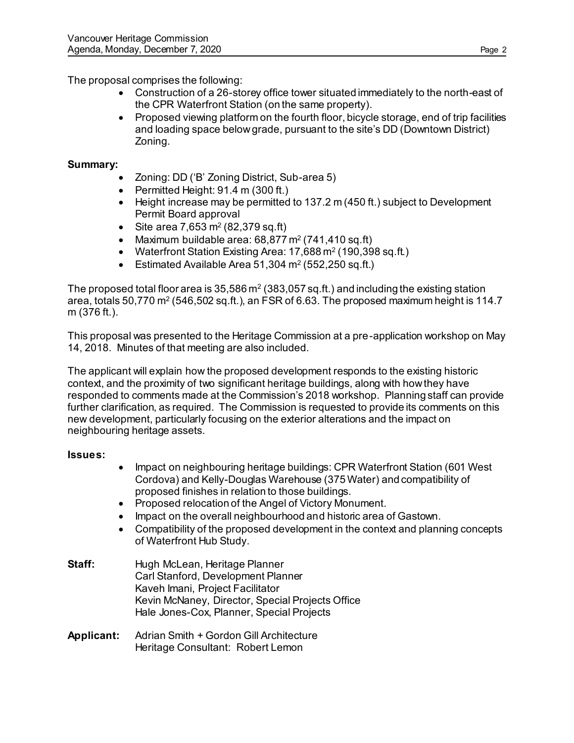The proposal comprises the following:

- Construction of a 26-storey office tower situated immediately to the north-east of the CPR Waterfront Station (on the same property).
- Proposed viewing platform on the fourth floor, bicycle storage, end of trip facilities and loading space below grade, pursuant to the site's DD (Downtown District) Zoning.

# **Summary:**

- Zoning: DD ('B' Zoning District, Sub-area 5)
- $\bullet$  Permitted Height: 91.4 m (300 ft.)
- Height increase may be permitted to 137.2 m (450 ft.) subject to Development Permit Board approval
- Site area 7,653 m<sup>2</sup> (82,379 sq.ft)
- Maximum buildable area:  $68,877$  m<sup>2</sup> (741,410 sq.ft)
- Waterfront Station Existing Area: 17,688 m<sup>2</sup> (190,398 sq.ft.)
- Estimated Available Area 51,304 m<sup>2</sup> (552,250 sq.ft.)

The proposed total floor area is 35,586 m<sup>2</sup> (383,057 sq.ft.) and including the existing station area, totals 50,770 m² (546,502 sq.ft.), an FSR of 6.63. The proposed maximum height is 114.7  $\,$ m (376 ft.).

This proposal was presented to the Heritage Commission at a pre-application workshop on May 14, 2018. Minutes of that meeting are also included.

The applicant will explain how the proposed development responds to the existing historic context, and the proximity of two significant heritage buildings, along with how they have responded to comments made at the Commission's 2018 workshop. Planning staff can provide further clarification, as required. The Commission is requested to provide its comments on this new development, particularly focusing on the exterior alterations and the impact on neighbouring heritage assets.

# **Issues:**

- Impact on neighbouring heritage buildings: CPR Waterfront Station (601 West) Cordova) and Kelly-Douglas Warehouse (375 Water) and compatibility of proposed finishes in relation to those buildings.
- Proposed relocation of the Angel of Victory Monument.
- Impact on the overall neighbourhood and historic area of Gastown.
- Compatibility of the proposed development in the context and planning concepts of Waterfront Hub Study.
- **Staff:** Hugh McLean, Heritage Planner Carl Stanford, Development Planner Kaveh Imani, Project Facilitator Kevin McNaney, Director, Special Projects Office Hale Jones-Cox, Planner, Special Projects
- **Applicant:** Adrian Smith + Gordon Gill Architecture Heritage Consultant: Robert Lemon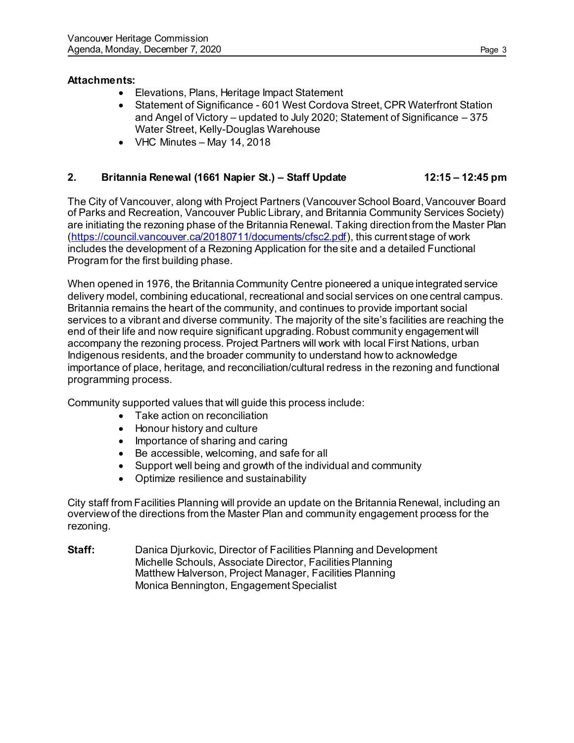## **Attachments:**

- Elevations, Plans, Heritage Impact Statement
- Statement of Significance 601 West Cordova Street, CPR Waterfront Station and Angel of Victory – updated to July 2020; Statement of Significance – 375 Water Street, Kelly-Douglas Warehouse
- VHC Minutes May 14, 2018

# **2. Britannia Renewal (1661 Napier St.) – Staff Update 12:15 – 12:45 pm**

The City of Vancouver, along with Project Partners (Vancouver School Board, Vancouver Board of Parks and Recreation, Vancouver Public Library, and Britannia Community Services Society) are initiating the rezoning phase of the Britannia Renewal. Taking direction from the Master Plan [\(https://council.vancouver.ca/20180711/documents/cfsc2.pdf](https://council.vancouver.ca/20180711/documents/cfsc2.pdf)), this current stage of work includes the development of a Rezoning Application for the site and a detailed Functional Program for the first building phase.

When opened in 1976, the Britannia Community Centre pioneered a unique integrated service delivery model, combining educational, recreational and social services on one central campus. Britannia remains the heart of the community, and continues to provide important social services to a vibrant and diverse community. The majority of the site's facilities are reaching the end of their life and now require significant upgrading. Robust community engagement will accompany the rezoning process. Project Partners will work with local First Nations, urban Indigenous residents, and the broader community to understand how to acknowledge importance of place, heritage, and reconciliation/cultural redress in the rezoning and functional programming process.

Community supported values that will guide this process include:

- Take action on reconciliation
- Honour history and culture
- Importance of sharing and caring
- Be accessible, welcoming, and safe for all
- Support well being and growth of the individual and community
- Optimize resilience and sustainability

City staff from Facilities Planning will provide an update on the Britannia Renewal, including an overview of the directions from the Master Plan and community engagement process for the rezoning.

**Staff:** Danica Djurkovic, Director of Facilities Planning and Development Michelle Schouls, Associate Director, Facilities Planning Matthew Halverson, Project Manager, Facilities Planning Monica Bennington, Engagement Specialist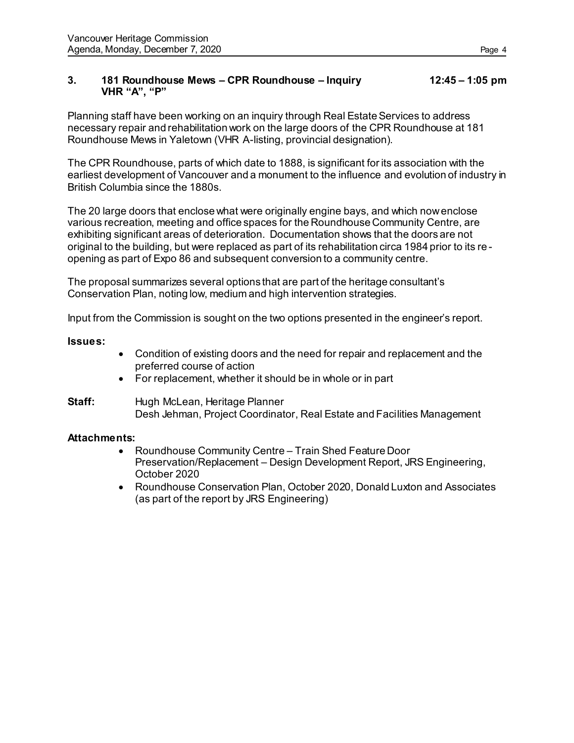#### **3. 181 Roundhouse Mews – CPR Roundhouse – Inquiry 12:45 – 1:05 pm VHR "A", "P"**

Planning staff have been working on an inquiry through Real Estate Services to address necessary repair and rehabilitation work on the large doors of the CPR Roundhouse at 181 Roundhouse Mews in Yaletown (VHR A-listing, provincial designation).

The CPR Roundhouse, parts of which date to 1888, is significant for its association with the earliest development of Vancouver and a monument to the influence and evolution of industry in British Columbia since the 1880s.

The 20 large doors that enclose what were originally engine bays, and which now enclose various recreation, meeting and office spaces for the Roundhouse Community Centre, are exhibiting significant areas of deterioration. Documentation shows that the doors are not original to the building, but were replaced as part of its rehabilitation circa 1984 prior to its re opening as part of Expo 86 and subsequent conversion to a community centre.

The proposal summarizes several options that are part of the heritage consultant's Conservation Plan, noting low, medium and high intervention strategies.

Input from the Commission is sought on the two options presented in the engineer's report.

**Issues:**

- Condition of existing doors and the need for repair and replacement and the preferred course of action
- For replacement, whether it should be in whole or in part

**Staff:** Hugh McLean, Heritage Planner Desh Jehman, Project Coordinator, Real Estate and Facilities Management

## **Attachments:**

- Roundhouse Community Centre Train Shed Feature Door Preservation/Replacement – Design Development Report, JRS Engineering, October 2020
- Roundhouse Conservation Plan, October 2020, Donald Luxton and Associates (as part of the report by JRS Engineering)